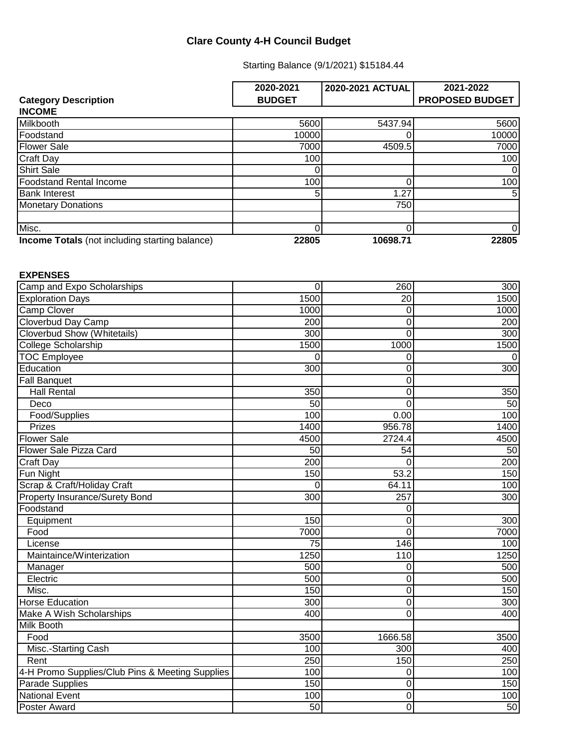## **Clare County 4-H Council Budget**

Starting Balance (9/1/2021) \$15184.44

|                                                       | 2020-2021     | 2020-2021 ACTUAL | 2021-2022              |
|-------------------------------------------------------|---------------|------------------|------------------------|
| <b>Category Description</b>                           | <b>BUDGET</b> |                  | <b>PROPOSED BUDGET</b> |
| <b>INCOME</b>                                         |               |                  |                        |
| Milkbooth                                             | 5600          | 5437.94          | 5600                   |
| Foodstand                                             | 10000         |                  | 10000                  |
| <b>Flower Sale</b>                                    | 7000          | 4509.5           | 7000                   |
| <b>Craft Day</b>                                      | 100           |                  | 100                    |
| <b>Shirt Sale</b>                                     |               |                  | 0                      |
| <b>Foodstand Rental Income</b>                        | 100           |                  | 100                    |
| <b>Bank Interest</b>                                  |               | 1.27             | 5                      |
| <b>Monetary Donations</b>                             |               | 750              |                        |
|                                                       |               |                  |                        |
| Misc.                                                 |               |                  | 0                      |
| <b>Income Totals</b> (not including starting balance) | 22805         | 10698.71         | 22805                  |

## **EXPENSES**

| Camp and Expo Scholarships                      | $\mathbf 0$ | 260            | 300  |
|-------------------------------------------------|-------------|----------------|------|
| <b>Exploration Days</b>                         | 1500        | 20             | 1500 |
| <b>Camp Clover</b>                              | 1000        | 0              | 1000 |
| Cloverbud Day Camp                              | 200         | 0              | 200  |
| <b>Cloverbud Show (Whitetails)</b>              | 300         | 0              | 300  |
| College Scholarship                             | 1500        | 1000           | 1500 |
| <b>TOC Employee</b>                             | $\Omega$    | 0              | 0    |
| Education                                       | 300         | 0              | 300  |
| <b>Fall Banquet</b>                             |             | 0              |      |
| <b>Hall Rental</b>                              | 350         | 0              | 350  |
| Deco                                            | 50          | 0              | 50   |
| Food/Supplies                                   | 100         | 0.00           | 100  |
| Prizes                                          | 1400        | 956.78         | 1400 |
| <b>Flower Sale</b>                              | 4500        | 2724.4         | 4500 |
| Flower Sale Pizza Card                          | 50          | 54             | 50   |
| Craft Day                                       | 200         | 0              | 200  |
| Fun Night                                       | 150         | 53.2           | 150  |
| Scrap & Craft/Holiday Craft                     | 0           | 64.11          | 100  |
| <b>Property Insurance/Surety Bond</b>           | 300         | 257            | 300  |
| Foodstand                                       |             | 0              |      |
| Equipment                                       | 150         | 0              | 300  |
| Food                                            | 7000        | $\overline{0}$ | 7000 |
| License                                         | 75          | 146            | 100  |
| Maintaince/Winterization                        | 1250        | 110            | 1250 |
| Manager                                         | 500         | 0              | 500  |
| Electric                                        | 500         | 0              | 500  |
| Misc.                                           | 150         | 0              | 150  |
| <b>Horse Education</b>                          | 300         | 0              | 300  |
| <b>Make A Wish Scholarships</b>                 | 400         | 0              | 400  |
| <b>Milk Booth</b>                               |             |                |      |
| Food                                            | 3500        | 1666.58        | 3500 |
| Misc.-Starting Cash                             | 100         | 300            | 400  |
| Rent                                            | 250         | 150            | 250  |
| 4-H Promo Supplies/Club Pins & Meeting Supplies | 100         | 0              | 100  |
| Parade Supplies                                 | 150         | 0              | 150  |
| <b>National Event</b>                           | 100         | 0              | 100  |
| Poster Award                                    | 50          | $\overline{0}$ | 50   |